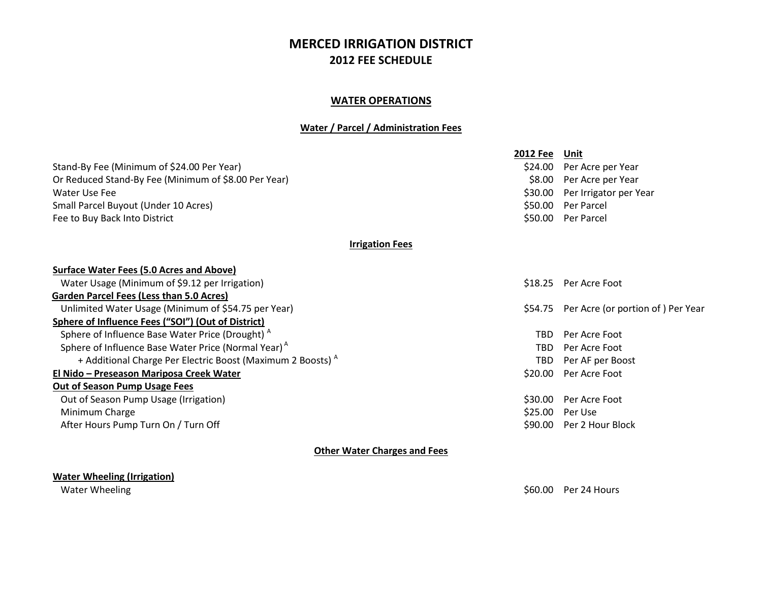# **MERCED IRRIGATION DISTRICT 2012 FEE SCHEDULE**

### **WATER OPERATIONS**

### **Water / Parcel / Administration Fees**

|                                                                        | <b>2012 Fee</b>        | Unit                              |
|------------------------------------------------------------------------|------------------------|-----------------------------------|
| Stand-By Fee (Minimum of \$24.00 Per Year)                             | \$24.00                | Per Acre per Year                 |
| Or Reduced Stand-By Fee (Minimum of \$8.00 Per Year)                   | \$8.00                 | Per Acre per Year                 |
| Water Use Fee                                                          | \$30.00                | Per Irrigator per Year            |
| Small Parcel Buyout (Under 10 Acres)                                   | \$50.00                | Per Parcel                        |
| Fee to Buy Back Into District                                          | \$50.00                | Per Parcel                        |
|                                                                        | <b>Irrigation Fees</b> |                                   |
| <b>Surface Water Fees (5.0 Acres and Above)</b>                        |                        |                                   |
| Water Usage (Minimum of \$9.12 per Irrigation)                         | \$18.25                | Per Acre Foot                     |
| <b>Garden Parcel Fees (Less than 5.0 Acres)</b>                        |                        |                                   |
| Unlimited Water Usage (Minimum of \$54.75 per Year)                    | \$54.75                | Per Acre (or portion of) Per Year |
| Sphere of Influence Fees ("SOI") (Out of District)                     |                        |                                   |
| Sphere of Influence Base Water Price (Drought) <sup>A</sup>            | <b>TRD</b>             | Per Acre Foot                     |
| Sphere of Influence Base Water Price (Normal Year) <sup>A</sup>        | <b>TBD</b>             | Per Acre Foot                     |
| + Additional Charge Per Electric Boost (Maximum 2 Boosts) <sup>A</sup> | TBD                    | Per AF per Boost                  |
| El Nido - Preseason Mariposa Creek Water                               | \$20.00                | Per Acre Foot                     |
| <b>Out of Season Pump Usage Fees</b>                                   |                        |                                   |
| Out of Season Pump Usage (Irrigation)                                  | \$30.00                | Per Acre Foot                     |
| Minimum Charge                                                         | \$25.00                | Per Use                           |
| After Hours Pump Turn On / Turn Off                                    | \$90.00                | Per 2 Hour Block                  |
|                                                                        |                        |                                   |

**Other Water Charges and Fees**

### **Water Wheeling (Irrigation)**

Water Wheeling Solution and the United States of the Solution of the Solution of the Solution of the Solution of the Solution of the Solution of the Solution of the Solution of the Solution of the Solution of the Solution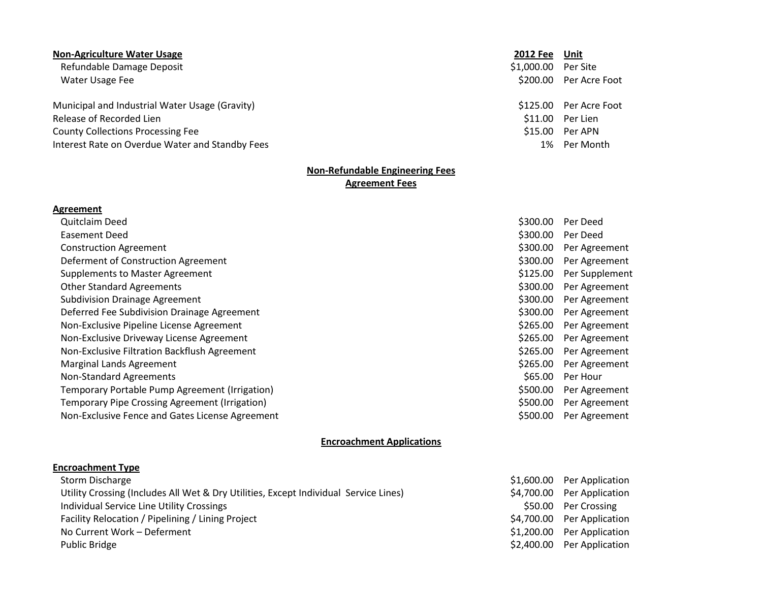#### **Non-Agriculture Water Usage 2012 Fee Unit**

Refundable Damage Deposit \$1,000.00 Per Site Water Usage Fee \$200.00 Per Acre Foot

Municipal and Industrial Water Usage (Gravity) **\$125.00 Per Acre** Foot Release of Recorded Lien **by a strategies of Recorded Lien S11.00** Per Lien **S11.00** Per Lien County Collections Processing Fee  $$15.00$  Per APN Interest Rate on Overdue Water and Standby Fees 1% Per Month

#### **Non-Refundable Engineering Fees Agreement Fees**

#### **Agreement**

| <b>Quitclaim Deed</b>                                 |
|-------------------------------------------------------|
| Easement Deed                                         |
| <b>Construction Agreement</b>                         |
| Deferment of Construction Agreement                   |
| <b>Supplements to Master Agreement</b>                |
| <b>Other Standard Agreements</b>                      |
| <b>Subdivision Drainage Agreement</b>                 |
| Deferred Fee Subdivision Drainage Agreement           |
| Non-Exclusive Pipeline License Agreement              |
| Non-Exclusive Driveway License Agreement              |
| Non-Exclusive Filtration Backflush Agreement          |
| Marginal Lands Agreement                              |
| <b>Non-Standard Agreements</b>                        |
| Temporary Portable Pump Agreement (Irrigation)        |
| <b>Temporary Pipe Crossing Agreement (Irrigation)</b> |
| Non-Exclusive Fence and Gates License Agreement       |

## \$300.00 Per Deed \$300.00 Per Deed \$300.00 Per Agreement \$300.00 Per Agreement \$125.00 Per Supplement \$300.00 Per Agreement \$300.00 Per Agreement \$300.00 Per Agreement \$265.00 Per Agreement \$265.00 Per Agreement \$265.00 Per Agreement \$265.00 Per Agreement \$65.00 Per Hour \$500.00 Per Agreement \$500.00 Per Agreement \$500.00 Per Agreement

#### **Encroachment Applications**

#### **Encroachment Type**

| Storm Discharge                                                                      | \$1,600.00 Per Application |
|--------------------------------------------------------------------------------------|----------------------------|
| Utility Crossing (Includes All Wet & Dry Utilities, Except Individual Service Lines) | \$4,700.00 Per Application |
| Individual Service Line Utility Crossings                                            | \$50.00 Per Crossing       |
| Facility Relocation / Pipelining / Lining Project                                    | \$4,700.00 Per Application |
| No Current Work - Deferment                                                          | \$1,200.00 Per Application |
| <b>Public Bridge</b>                                                                 | \$2,400.00 Per Application |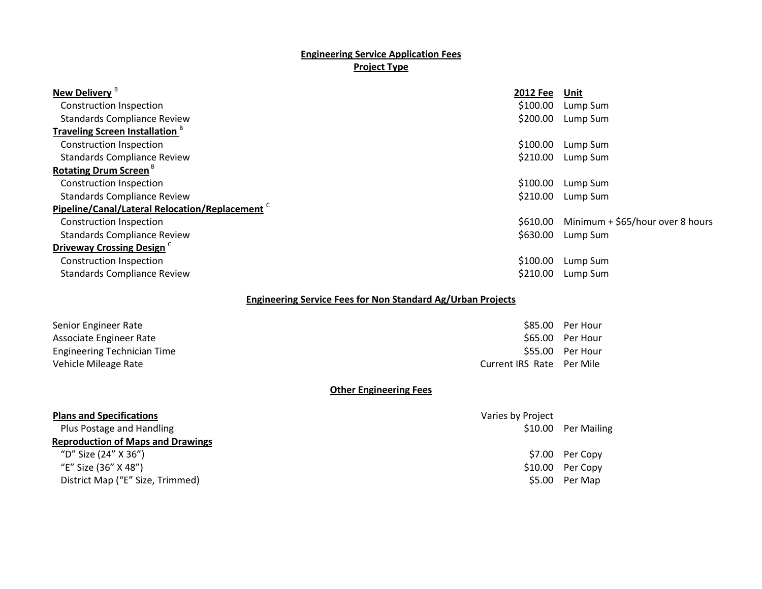### **Engineering Service Application Fees Project Type**

| New Delivery <sup>B</sup>                                  | 2012 Fee | Unit                              |
|------------------------------------------------------------|----------|-----------------------------------|
| Construction Inspection                                    | \$100.00 | Lump Sum                          |
| <b>Standards Compliance Review</b>                         | \$200.00 | Lump Sum                          |
| <b>Traveling Screen Installation</b> <sup>8</sup>          |          |                                   |
| Construction Inspection                                    | \$100.00 | Lump Sum                          |
| <b>Standards Compliance Review</b>                         | \$210.00 | Lump Sum                          |
| <b>Rotating Drum Screen</b> <sup>B</sup>                   |          |                                   |
| <b>Construction Inspection</b>                             | \$100.00 | Lump Sum                          |
| <b>Standards Compliance Review</b>                         | \$210.00 | Lump Sum                          |
| Pipeline/Canal/Lateral Relocation/Replacement <sup>C</sup> |          |                                   |
| Construction Inspection                                    | \$610.00 | Minimum + $$65/hour over 8 hours$ |
| <b>Standards Compliance Review</b>                         | \$630.00 | Lump Sum                          |
| Driveway Crossing Design <sup>C</sup>                      |          |                                   |
| Construction Inspection                                    | \$100.00 | Lump Sum                          |
| <b>Standards Compliance Review</b>                         | \$210.00 | Lump Sum                          |
|                                                            |          |                                   |

### **Engineering Service Fees for Non Standard Ag/Urban Projects**

| Senior Engineer Rate               |
|------------------------------------|
| Associate Engineer Rate            |
| <b>Engineering Technician Time</b> |
| Vehicle Mileage Rate               |

# \$85.00 Per Hour \$65.00 Per Hour \$55.00 Per Hour age Rate Current IRS Rate Current IRS Rate Per Mile

#### **Other Engineering Fees**

| <b>Plans and Specifications</b>          | Varies by Project |                     |
|------------------------------------------|-------------------|---------------------|
| Plus Postage and Handling                |                   | \$10.00 Per Mailing |
| <b>Reproduction of Maps and Drawings</b> |                   |                     |
| "D" Size (24" X 36")                     |                   | \$7.00 Per Copy     |
| "E" Size (36" X 48")                     |                   | $$10.00$ Per Copy   |
| District Map ("E" Size, Trimmed)         |                   | \$5.00 Per Map      |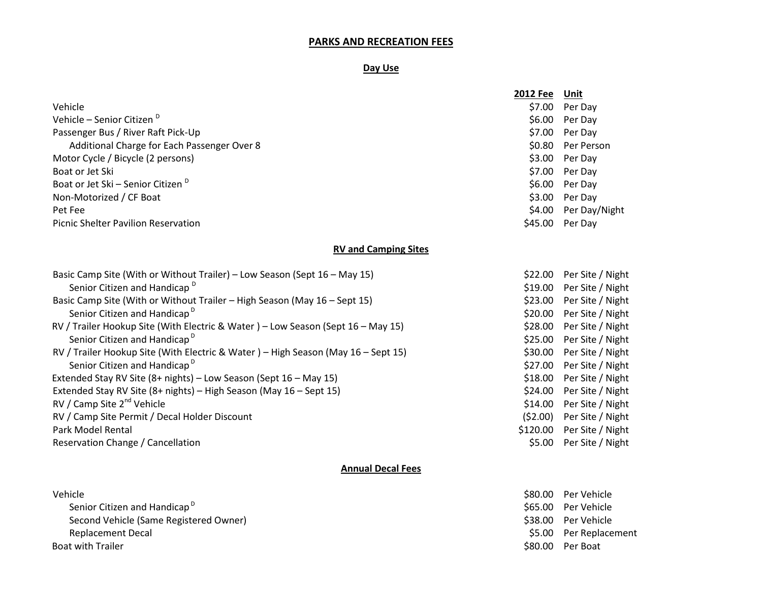#### **PARKS AND RECREATION FEES**

#### **Day Use**

|                                               | <b>2012 Fee</b> | Unit              |
|-----------------------------------------------|-----------------|-------------------|
| Vehicle                                       | \$7.00          | Per Day           |
| Vehicle - Senior Citizen <sup>D</sup>         | \$6.00          | Per Day           |
| Passenger Bus / River Raft Pick-Up            |                 | $$7.00$ Per Day   |
| Additional Charge for Each Passenger Over 8   |                 | \$0.80 Per Person |
| Motor Cycle / Bicycle (2 persons)             |                 | $$3.00$ Per Day   |
| Boat or Jet Ski                               | \$7.00          | Per Day           |
| Boat or Jet Ski - Senior Citizen <sup>D</sup> | S6.00           | Per Day           |
| Non-Motorized / CF Boat                       | \$3.00          | Per Day           |
| Pet Fee                                       | S4.00           | Per Day/Night     |
| <b>Picnic Shelter Pavilion Reservation</b>    | \$45.00         | Per Day           |

#### **RV and Camping Sites**

| Basic Camp Site (With or Without Trailer) – Low Season (Sept 16 – May 15)         | \$22.00  |
|-----------------------------------------------------------------------------------|----------|
| Senior Citizen and Handicap <sup>D</sup>                                          | \$19.00  |
| Basic Camp Site (With or Without Trailer - High Season (May 16 - Sept 15)         | \$23.00  |
| Senior Citizen and Handicap <sup>D</sup>                                          | \$20.00  |
| RV / Trailer Hookup Site (With Electric & Water) – Low Season (Sept 16 – May 15)  | \$28.00  |
| Senior Citizen and Handicap <sup>D</sup>                                          | \$25.00  |
| RV / Trailer Hookup Site (With Electric & Water) – High Season (May 16 – Sept 15) | \$30.00  |
| Senior Citizen and Handicap <sup>D</sup>                                          | \$27.00  |
| Extended Stay RV Site (8+ nights) – Low Season (Sept 16 – May 15)                 | \$18.00  |
| Extended Stay RV Site (8+ nights) - High Season (May 16 - Sept 15)                | \$24.00  |
| RV / Camp Site 2 <sup>nd</sup> Vehicle                                            | \$14.00  |
| RV / Camp Site Permit / Decal Holder Discount                                     | (52.00)  |
| Park Model Rental                                                                 | \$120.00 |
| Reservation Change / Cancellation                                                 | \$5.00   |

#### **Annual Decal Fees**

| Vehicle                                  | \$80.00 Per Vehicle |
|------------------------------------------|---------------------|
| Senior Citizen and Handicap <sup>D</sup> | \$65.00 Per Vehicle |
| Second Vehicle (Same Registered Owner)   | \$38.00 Per Vehicle |
| Replacement Decal                        | \$5.00 Per Replace  |
| <b>Boat with Trailer</b>                 | \$80.00 Per Boat    |

\$65.00 Per Vehicle \$38.00 Per Vehicle \$5.00 Per Replacement

Per Site / Night

Per Site / Night Per Site / Night

Per Site / Night Per Site / Night

Per Site / Night Per Site / Night

Per Site / Night Per Site / Night Per Site / Night Per Site / Night Per Site / Night Per Site / Night Per Site / Night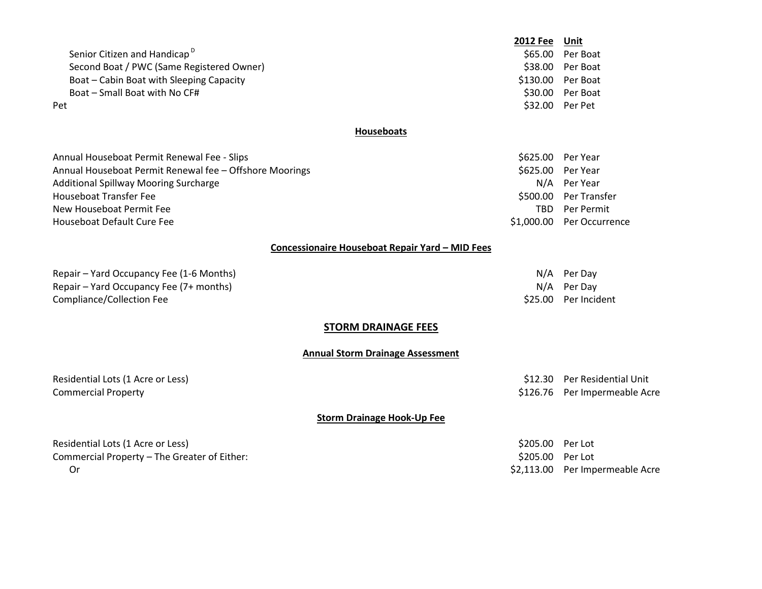Senior Citizen and Handicap<sup>D</sup> Second Boat / PWC (Same Registered Owner) 6. Second Boat 38.00 Per Boat Boat – Cabin Boat with Sleeping Capacity **\$130.00 Per Boat** Boat – Small Boat with No CF#  $\overline{ }$  Boat – Small Boat with No CF#  $\overline{ }$  Boat – Small Boat with No CF#  $\overline{ }$  Boat extra  $\overline{ }$  Boat extra  $\overline{ }$  Boat extra  $\overline{ }$  Boat extra  $\overline{ }$  Boat extra  $\overline{ }$  Boat extra  $\$ Pet the state of the state of the state of the state of the state of the S32.00 Per Pet the S32.00 Per Pet the S

#### **Houseboats**

Annual Houseboat Permit Renewal Fee - Slips \$625.00 Per Year Annual Houseboat Permit Renewal fee – Offshore Moorings **\$625.00 Per Year** \$625.00 Per Year Additional Spillway Mooring Surcharge Notational Spillway Mooring Surcharge Notational Spillway Mooring Surcharge Houseboat Transfer Fee \$500.00 Per Transfer New Houseboat Permit Fee Table 1999 and the Control of the Table 1999 and the Table 1999 and the Table 1999 and TBD Per Permit Houseboat Default Cure Fee \$1,000.00 Per Occurrence

**2012 Fee Unit** \$65.00 Per Boat

#### **Concessionaire Houseboat Repair Yard – MID Fees**

Repair – Yard Occupancy Fee (1-6 Months) Note and the state of the state of the North Separate Separate Separate Separate Separate Separate Separate Separate Separate Separate Separate Separate Separate Separate Separate S Repair – Yard Occupancy Fee (7+ months) N/A Per Day Compliance/Collection Fee  $$25.00$  Per Incident

#### **STORM DRAINAGE FEES**

#### **Annual Storm Drainage Assessment**

Residential Lots (1 Acre or Less) \$12.30 Per Residential Unit

Commercial Property \$126.76 Per Impermeable Acre

#### **Storm Drainage Hook-Up Fee**

Residential Lots (1 Acre or Less) \$205.00 Per Lot Commercial Property – The Greater of Either: \$205.00 Per Lot Or **\$2,113.00** Per Impermeable Acre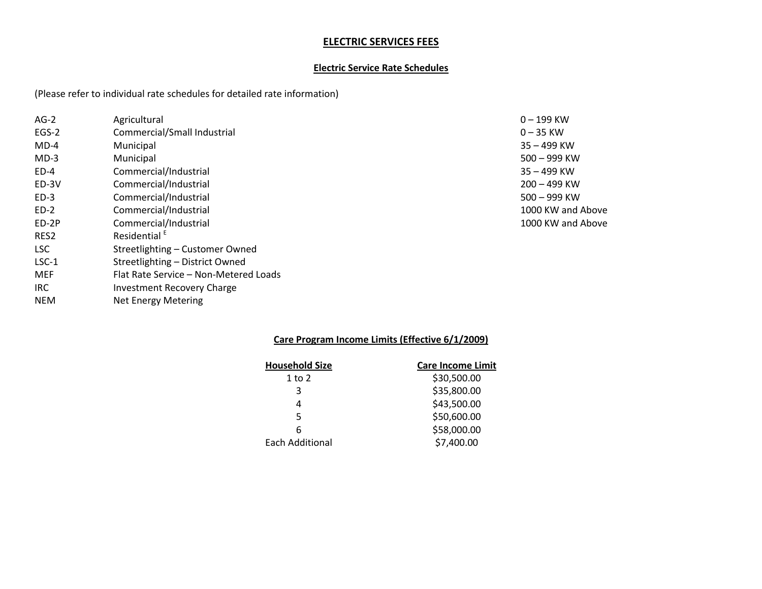### **ELECTRIC SERVICES FEES**

### **Electric Service Rate Schedules**

(Please refer to individual rate schedules for detailed rate information)

| $AG-2$  | Agricultural                          | $0 - 199$ KW      |
|---------|---------------------------------------|-------------------|
| EGS-2   | Commercial/Small Industrial           | $0 - 35$ KW       |
| $MD-4$  | Municipal                             | 35 - 499 KW       |
| $MD-3$  | Municipal                             | 500 - 999 KW      |
| $ED-4$  | Commercial/Industrial                 | 35 – 499 KW       |
| ED-3V   | Commercial/Industrial                 | $200 - 499$ KW    |
| $ED-3$  | Commercial/Industrial                 | $500 - 999$ KW    |
| $ED-2$  | Commercial/Industrial                 | 1000 KW and Above |
| ED-2P   | Commercial/Industrial                 | 1000 KW and Above |
| RES2    | Residential <sup>E</sup>              |                   |
| LSC.    | Streetlighting - Customer Owned       |                   |
| $LSC-1$ | Streetlighting - District Owned       |                   |
| MEF     | Flat Rate Service - Non-Metered Loads |                   |
| IRC.    | Investment Recovery Charge            |                   |

NEM Net Energy Metering

# **Care Program Income Limits (Effective 6/1/2009)**

| <b>Care Income Limit</b> |
|--------------------------|
| \$30,500.00              |
| \$35,800.00              |
| \$43,500.00              |
| \$50,600.00              |
| \$58,000.00              |
| \$7,400.00               |
|                          |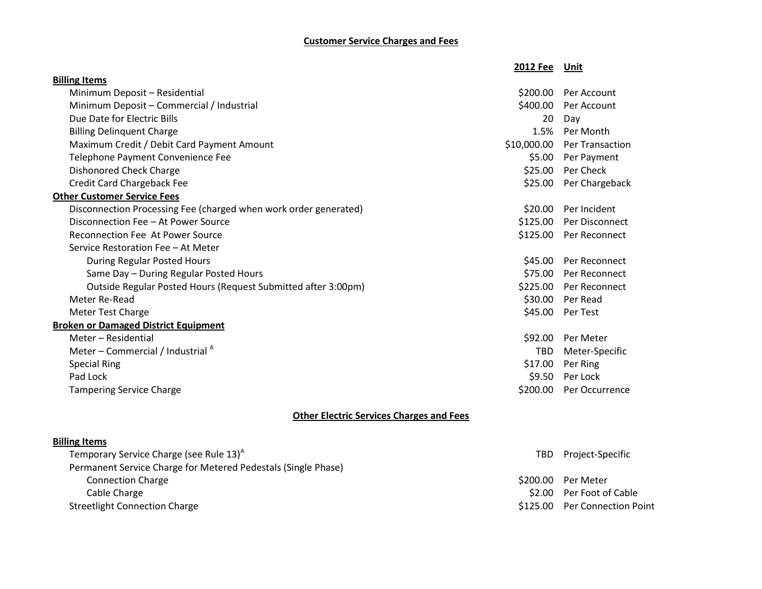# **Customer Service Charges and Fees**

|                                                                  | 2012 Fee Unit |                         |
|------------------------------------------------------------------|---------------|-------------------------|
| <b>Billing Items</b>                                             |               |                         |
| Minimum Deposit - Residential                                    | \$200.00      | Per Account             |
| Minimum Deposit - Commercial / Industrial                        | \$400.00      | Per Account             |
| Due Date for Electric Bills                                      | 20            | Day                     |
| <b>Billing Delinquent Charge</b>                                 |               | 1.5% Per Month          |
| Maximum Credit / Debit Card Payment Amount                       | \$10,000.00   | <b>Per Transaction</b>  |
| Telephone Payment Convenience Fee                                | \$5.00        | Per Payment             |
| <b>Dishonored Check Charge</b>                                   | \$25.00       | Per Check               |
| Credit Card Chargeback Fee                                       |               | \$25.00 Per Chargeback  |
| <b>Other Customer Service Fees</b>                               |               |                         |
| Disconnection Processing Fee (charged when work order generated) | \$20.00       | Per Incident            |
| Disconnection Fee - At Power Source                              |               | \$125.00 Per Disconnect |
| <b>Reconnection Fee At Power Source</b>                          |               | \$125.00 Per Reconnect  |
| Service Restoration Fee - At Meter                               |               |                         |
| During Regular Posted Hours                                      |               | \$45.00 Per Reconnect   |
| Same Day - During Regular Posted Hours                           |               | \$75.00 Per Reconnect   |
| Outside Regular Posted Hours (Request Submitted after 3:00pm)    |               | \$225.00 Per Reconnect  |
| Meter Re-Read                                                    | \$30.00       | Per Read                |
| Meter Test Charge                                                |               | \$45.00 Per Test        |
| <b>Broken or Damaged District Equipment</b>                      |               |                         |
| Meter - Residential                                              | \$92.00       | Per Meter               |
| Meter – Commercial / Industrial $^A$                             | <b>TBD</b>    | Meter-Specific          |
| <b>Special Ring</b>                                              | \$17.00       | Per Ring                |
| Pad Lock                                                         | \$9.50        | Per Lock                |
| <b>Tampering Service Charge</b>                                  | \$200.00      | Per Occurrence          |
|                                                                  |               |                         |

# **Other Electric Services Charges and Fees**

### **Billing Items**

| Temporary Service Charge (see Rule 13) <sup>A</sup>           | TBD.     | Project-Specific            |
|---------------------------------------------------------------|----------|-----------------------------|
| Permanent Service Charge for Metered Pedestals (Single Phase) |          |                             |
| <b>Connection Charge</b>                                      | \$200.00 | Per Meter                   |
| Cable Charge                                                  |          | \$2.00 Per Foot of Cable    |
| <b>Streetlight Connection Charge</b>                          | \$125.00 | <b>Per Connection Point</b> |